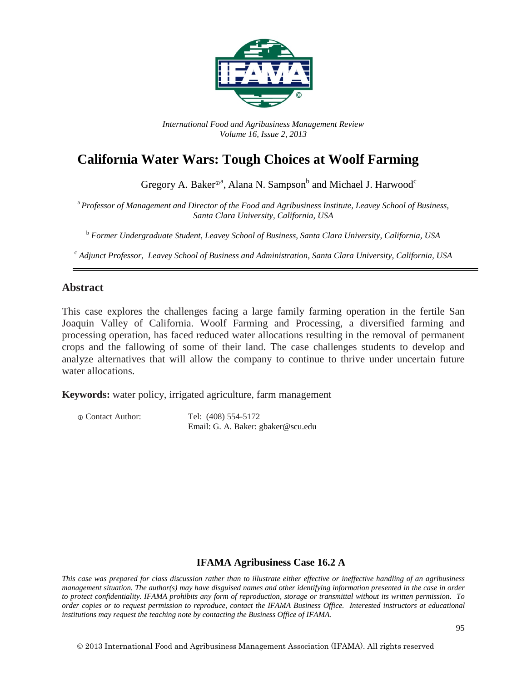

*International Food and Agribusiness Management Review Volume 16, Issue 2, 2013*

# **California Water Wars: Tough Choices at Woolf Farming**

Gregory A. Baker®ª, Alana N. Sampson $^{\rm b}$  and Michael J. Harwood $^{\rm c}$ 

<sup>a</sup>*Professor of Management and Director of the Food and Agribusiness Institute, Leavey School of Business, Santa Clara University, California, USA*

<sup>b</sup> *Former Undergraduate Student, Leavey School of Business, Santa Clara University*, *California, USA*

<sup>c</sup> *Adjunct Professor, Leavey School of Business and Administration, Santa Clara University, California, USA*

### **Abstract**

This case explores the challenges facing a large family farming operation in the fertile San Joaquin Valley of California. Woolf Farming and Processing, a diversified farming and processing operation, has faced reduced water allocations resulting in the removal of permanent crops and the fallowing of some of their land. The case challenges students to develop and analyze alternatives that will allow the company to continue to thrive under uncertain future water allocations.

**Keywords:** water policy, irrigated agriculture, farm management

| <b>O</b> Contact Author: | Tel: (408) 554-5172                |  |  |  |
|--------------------------|------------------------------------|--|--|--|
|                          | Email: G. A. Baker: gbaker@scu.edu |  |  |  |

### **IFAMA Agribusiness Case 16.2 A**

*This case was prepared for class discussion rather than to illustrate either effective or ineffective handling of an agribusiness management situation. The author(s) may have disguised names and other identifying information presented in the case in order to protect confidentiality. IFAMA prohibits any form of reproduction, storage or transmittal without its written permission. To order copies or to request permission to reproduce, contact the IFAMA Business Office. Interested instructors at educational institutions may request the teaching note by contacting the Business Office of IFAMA.*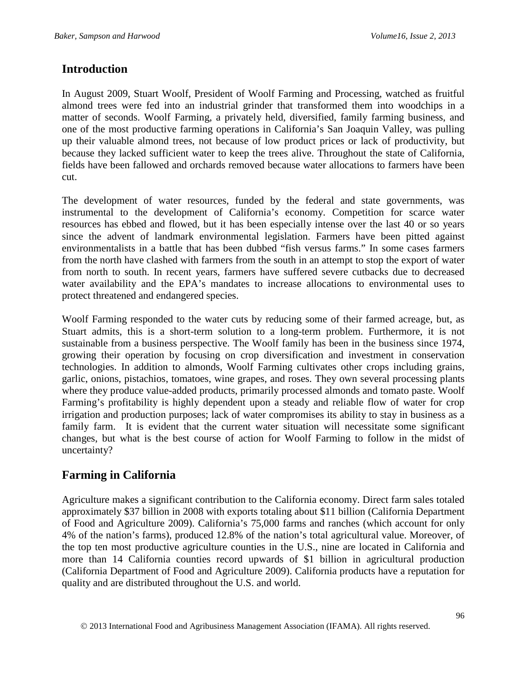# **Introduction**

In August 2009, Stuart Woolf, President of Woolf Farming and Processing, watched as fruitful almond trees were fed into an industrial grinder that transformed them into woodchips in a matter of seconds. Woolf Farming, a privately held, diversified, family farming business, and one of the most productive farming operations in California's San Joaquin Valley, was pulling up their valuable almond trees, not because of low product prices or lack of productivity, but because they lacked sufficient water to keep the trees alive. Throughout the state of California, fields have been fallowed and orchards removed because water allocations to farmers have been cut.

The development of water resources, funded by the federal and state governments, was instrumental to the development of California's economy. Competition for scarce water resources has ebbed and flowed, but it has been especially intense over the last 40 or so years since the advent of landmark environmental legislation. Farmers have been pitted against environmentalists in a battle that has been dubbed "fish versus farms." In some cases farmers from the north have clashed with farmers from the south in an attempt to stop the export of water from north to south. In recent years, farmers have suffered severe cutbacks due to decreased water availability and the EPA's mandates to increase allocations to environmental uses to protect threatened and endangered species.

Woolf Farming responded to the water cuts by reducing some of their farmed acreage, but, as Stuart admits, this is a short-term solution to a long-term problem. Furthermore, it is not sustainable from a business perspective. The Woolf family has been in the business since 1974, growing their operation by focusing on crop diversification and investment in conservation technologies. In addition to almonds, Woolf Farming cultivates other crops including grains, garlic, onions, pistachios, tomatoes, wine grapes, and roses. They own several processing plants where they produce value-added products, primarily processed almonds and tomato paste. Woolf Farming's profitability is highly dependent upon a steady and reliable flow of water for crop irrigation and production purposes; lack of water compromises its ability to stay in business as a family farm. It is evident that the current water situation will necessitate some significant changes, but what is the best course of action for Woolf Farming to follow in the midst of uncertainty?

# **Farming in California**

Agriculture makes a significant contribution to the California economy. Direct farm sales totaled approximately \$37 billion in 2008 with exports totaling about \$11 billion (California Department of Food and Agriculture 2009). California's 75,000 farms and ranches (which account for only 4% of the nation's farms), produced 12.8% of the nation's total agricultural value. Moreover, of the top ten most productive agriculture counties in the U.S., nine are located in California and more than 14 California counties record upwards of \$1 billion in agricultural production (California Department of Food and Agriculture 2009). California products have a reputation for quality and are distributed throughout the U.S. and world.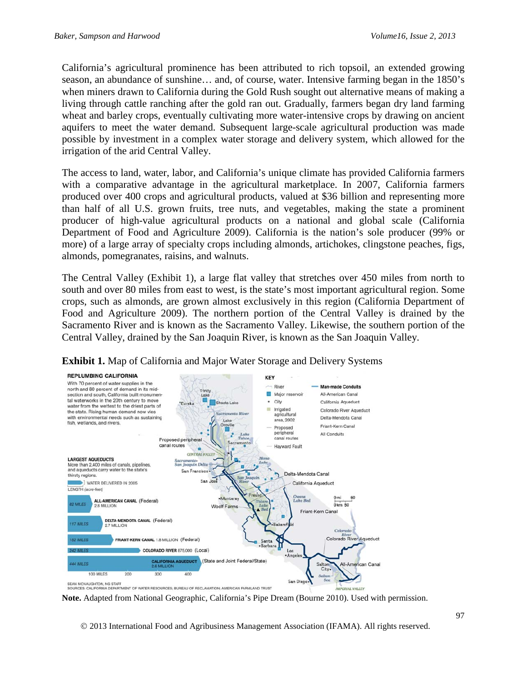California's agricultural prominence has been attributed to rich topsoil, an extended growing season, an abundance of sunshine… and, of course, water. Intensive farming began in the 1850's when miners drawn to California during the Gold Rush sought out alternative means of making a living through cattle ranching after the gold ran out. Gradually, farmers began dry land farming wheat and barley crops, eventually cultivating more water-intensive crops by drawing on ancient aquifers to meet the water demand. Subsequent large-scale agricultural production was made possible by investment in a complex water storage and delivery system, which allowed for the irrigation of the arid Central Valley.

The access to land, water, labor, and California's unique climate has provided California farmers with a comparative advantage in the agricultural marketplace. In 2007, California farmers produced over 400 crops and agricultural products, valued at \$36 billion and representing more than half of all U.S. grown fruits, tree nuts, and vegetables, making the state a prominent producer of high-value agricultural products on a national and global scale (California Department of Food and Agriculture 2009). California is the nation's sole producer (99% or more) of a large array of specialty crops including almonds, artichokes, clingstone peaches, figs, almonds, pomegranates, raisins, and walnuts.

The Central Valley (Exhibit 1), a large flat valley that stretches over 450 miles from north to south and over 80 miles from east to west, is the state's most important agricultural region. Some crops, such as almonds, are grown almost exclusively in this region (California Department of Food and Agriculture 2009). The northern portion of the Central Valley is drained by the Sacramento River and is known as the Sacramento Valley. Likewise, the southern portion of the Central Valley, drained by the San Joaquin River, is known as the San Joaquin Valley.



### **Exhibit 1.** Map of California and Major Water Storage and Delivery Systems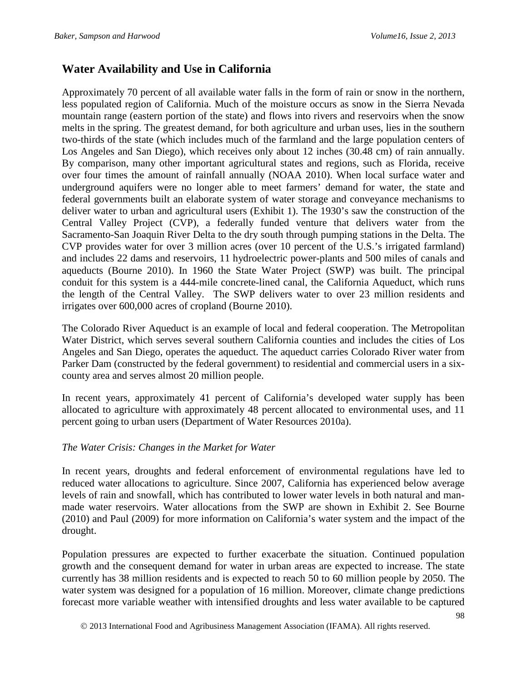# **Water Availability and Use in California**

Approximately 70 percent of all available water falls in the form of rain or snow in the northern, less populated region of California. Much of the moisture occurs as snow in the Sierra Nevada mountain range (eastern portion of the state) and flows into rivers and reservoirs when the snow melts in the spring. The greatest demand, for both agriculture and urban uses, lies in the southern two-thirds of the state (which includes much of the farmland and the large population centers of Los Angeles and San Diego), which receives only about 12 inches (30.48 cm) of rain annually. By comparison, many other important agricultural states and regions, such as Florida, receive over four times the amount of rainfall annually (NOAA 2010). When local surface water and underground aquifers were no longer able to meet farmers' demand for water, the state and federal governments built an elaborate system of water storage and conveyance mechanisms to deliver water to urban and agricultural users (Exhibit 1). The 1930's saw the construction of the Central Valley Project (CVP), a federally funded venture that delivers water from the Sacramento-San Joaquin River Delta to the dry south through pumping stations in the Delta. The CVP provides water for over 3 million acres (over 10 percent of the U.S.'s irrigated farmland) and includes 22 dams and reservoirs, 11 hydroelectric power-plants and 500 miles of canals and aqueducts (Bourne 2010). In 1960 the State Water Project (SWP) was built. The principal conduit for this system is a 444-mile concrete-lined canal, the California Aqueduct, which runs the length of the Central Valley. The SWP delivers water to over 23 million residents and irrigates over 600,000 acres of cropland (Bourne 2010).

The Colorado River Aqueduct is an example of local and federal cooperation. The Metropolitan Water District, which serves several southern California counties and includes the cities of Los Angeles and San Diego, operates the aqueduct. The aqueduct carries Colorado River water from Parker Dam (constructed by the federal government) to residential and commercial users in a sixcounty area and serves almost 20 million people.

In recent years, approximately 41 percent of California's developed water supply has been allocated to agriculture with approximately 48 percent allocated to environmental uses, and 11 percent going to urban users (Department of Water Resources 2010a).

## *The Water Crisis: Changes in the Market for Water*

In recent years, droughts and federal enforcement of environmental regulations have led to reduced water allocations to agriculture. Since 2007, California has experienced below average levels of rain and snowfall, which has contributed to lower water levels in both natural and manmade water reservoirs. Water allocations from the SWP are shown in Exhibit 2. See Bourne (2010) and Paul (2009) for more information on California's water system and the impact of the drought.

Population pressures are expected to further exacerbate the situation. Continued population growth and the consequent demand for water in urban areas are expected to increase. The state currently has 38 million residents and is expected to reach 50 to 60 million people by 2050. The water system was designed for a population of 16 million. Moreover, climate change predictions forecast more variable weather with intensified droughts and less water available to be captured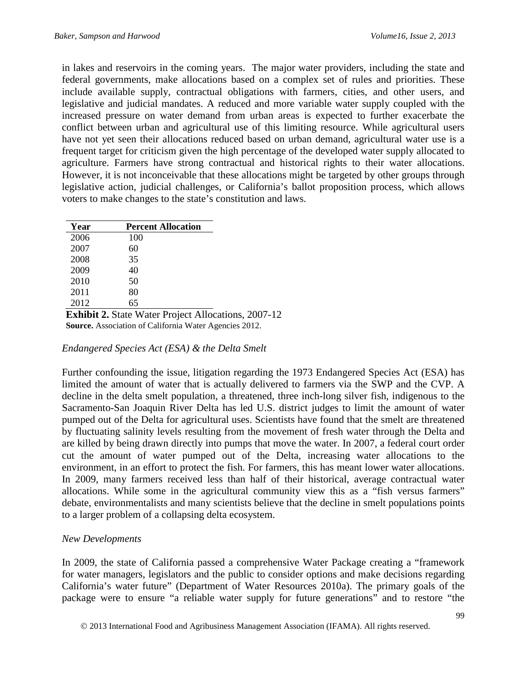in lakes and reservoirs in the coming years. The major water providers, including the state and federal governments, make allocations based on a complex set of rules and priorities. These include available supply, contractual obligations with farmers, cities, and other users, and legislative and judicial mandates. A reduced and more variable water supply coupled with the increased pressure on water demand from urban areas is expected to further exacerbate the conflict between urban and agricultural use of this limiting resource. While agricultural users have not yet seen their allocations reduced based on urban demand, agricultural water use is a frequent target for criticism given the high percentage of the developed water supply allocated to agriculture. Farmers have strong contractual and historical rights to their water allocations. However, it is not inconceivable that these allocations might be targeted by other groups through legislative action, judicial challenges, or California's ballot proposition process, which allows voters to make changes to the state's constitution and laws.

| Year | <b>Percent Allocation</b> |
|------|---------------------------|
| 2006 | 100                       |
| 2007 | 60                        |
| 2008 | 35                        |
| 2009 | 40                        |
| 2010 | 50                        |
| 2011 | 80                        |
| 2012 | 65                        |

**Exhibit 2.** State Water Project Allocations, 2007-12 **Source.** Association of California Water Agencies 2012.

## *Endangered Species Act (ESA) & the Delta Smelt*

Further confounding the issue, litigation regarding the 1973 Endangered Species Act (ESA) has limited the amount of water that is actually delivered to farmers via the SWP and the CVP. A decline in the delta smelt population, a threatened, three inch-long silver fish, indigenous to the Sacramento-San Joaquin River Delta has led U.S. district judges to limit the amount of water pumped out of the Delta for agricultural uses. Scientists have found that the smelt are threatened by fluctuating salinity levels resulting from the movement of fresh water through the Delta and are killed by being drawn directly into pumps that move the water. In 2007, a federal court order cut the amount of water pumped out of the Delta, increasing water allocations to the environment, in an effort to protect the fish. For farmers, this has meant lower water allocations. In 2009, many farmers received less than half of their historical, average contractual water allocations. While some in the agricultural community view this as a "fish versus farmers" debate, environmentalists and many scientists believe that the decline in smelt populations points to a larger problem of a collapsing delta ecosystem.

## *New Developments*

In 2009, the state of California passed a comprehensive Water Package creating a "framework for water managers, legislators and the public to consider options and make decisions regarding California's water future" (Department of Water Resources 2010a). The primary goals of the package were to ensure "a reliable water supply for future generations" and to restore "the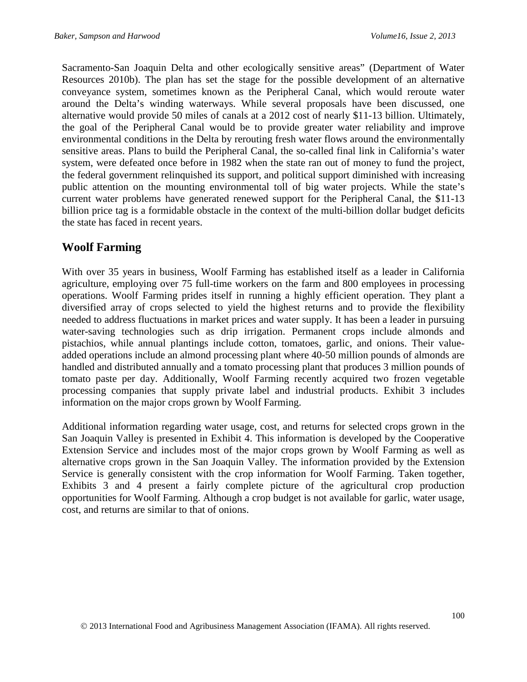Sacramento-San Joaquin Delta and other ecologically sensitive areas" (Department of Water Resources 2010b). The plan has set the stage for the possible development of an alternative conveyance system, sometimes known as the Peripheral Canal, which would reroute water around the Delta's winding waterways. While several proposals have been discussed, one alternative would provide 50 miles of canals at a 2012 cost of nearly \$11-13 billion. Ultimately, the goal of the Peripheral Canal would be to provide greater water reliability and improve environmental conditions in the Delta by rerouting fresh water flows around the environmentally sensitive areas. Plans to build the Peripheral Canal, the so-called final link in California's water system, were defeated once before in 1982 when the state ran out of money to fund the project, the federal government relinquished its support, and political support diminished with increasing public attention on the mounting environmental toll of big water projects. While the state's current water problems have generated renewed support for the Peripheral Canal, the \$11-13 billion price tag is a formidable obstacle in the context of the multi-billion dollar budget deficits the state has faced in recent years.

## **Woolf Farming**

With over 35 years in business, Woolf Farming has established itself as a leader in California agriculture, employing over 75 full-time workers on the farm and 800 employees in processing operations. Woolf Farming prides itself in running a highly efficient operation. They plant a diversified array of crops selected to yield the highest returns and to provide the flexibility needed to address fluctuations in market prices and water supply. It has been a leader in pursuing water-saving technologies such as drip irrigation. Permanent crops include almonds and pistachios, while annual plantings include cotton, tomatoes, garlic, and onions. Their valueadded operations include an almond processing plant where 40-50 million pounds of almonds are handled and distributed annually and a tomato processing plant that produces 3 million pounds of tomato paste per day. Additionally, Woolf Farming recently acquired two frozen vegetable processing companies that supply private label and industrial products. Exhibit 3 includes information on the major crops grown by Woolf Farming.

Additional information regarding water usage, cost, and returns for selected crops grown in the San Joaquin Valley is presented in Exhibit 4. This information is developed by the Cooperative Extension Service and includes most of the major crops grown by Woolf Farming as well as alternative crops grown in the San Joaquin Valley. The information provided by the Extension Service is generally consistent with the crop information for Woolf Farming. Taken together, Exhibits 3 and 4 present a fairly complete picture of the agricultural crop production opportunities for Woolf Farming. Although a crop budget is not available for garlic, water usage, cost, and returns are similar to that of onions.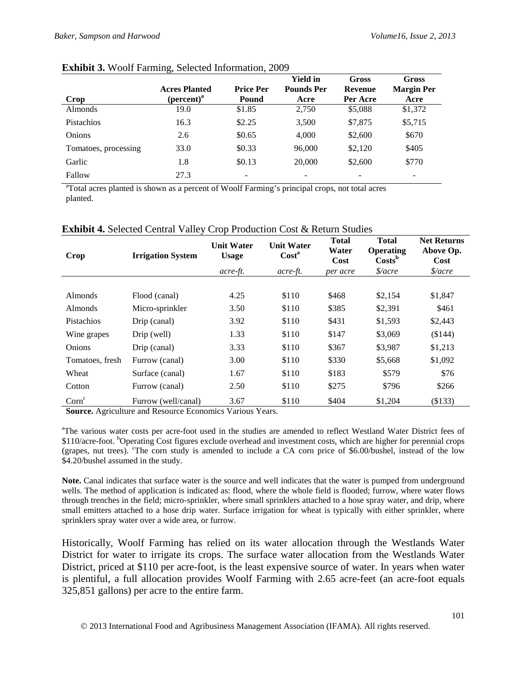| Crop                 | <b>Acres Planted</b><br>$(\text{percent})^a$ | <b>Price Per</b><br>Pound | <b>Yield in</b><br><b>Pounds Per</b><br>Acre | <b>Gross</b><br>Revenue<br>Per Acre | Gross<br><b>Margin Per</b><br>Acre |
|----------------------|----------------------------------------------|---------------------------|----------------------------------------------|-------------------------------------|------------------------------------|
| <b>Almonds</b>       | 19.0                                         | \$1.85                    | 2,750                                        | \$5,088                             | \$1,372                            |
| <b>Pistachios</b>    | 16.3                                         | \$2.25                    | 3,500                                        | \$7,875                             | \$5,715                            |
| <b>Onions</b>        | 2.6                                          | \$0.65                    | 4,000                                        | \$2,600                             | \$670                              |
| Tomatoes, processing | 33.0                                         | \$0.33                    | 96,000                                       | \$2,120                             | \$405                              |
| Garlic               | 1.8                                          | \$0.13                    | 20,000                                       | \$2,600                             | \$770                              |
| Fallow               | 27.3                                         | $\overline{\phantom{0}}$  |                                              |                                     | -                                  |

### **Exhibit 3.** Woolf Farming, Selected Information, 2009

<sup>a</sup>Total acres planted is shown as a percent of Woolf Farming's principal crops, not total acres planted.

| Crop              | <b>Irrigation System</b> | <b>Unit Water</b><br><b>Usage</b> | <b>Unit Water</b><br>$\text{Cost}^{\text{a}}$ | <b>Total</b><br>Water<br>Cost | <b>Total</b><br><b>Operating</b><br>$\text{Costs}^b$ | <b>Net Returns</b><br>Above Op.<br>Cost |
|-------------------|--------------------------|-----------------------------------|-----------------------------------------------|-------------------------------|------------------------------------------------------|-----------------------------------------|
|                   |                          | acre-ft.                          | acre-ft.                                      | per acre                      | $\frac{s}{area}$                                     | $\frac{s}{ace}$                         |
| Almonds           | Flood (canal)            | 4.25                              | \$110                                         | \$468                         | \$2,154                                              | \$1,847                                 |
| <b>Almonds</b>    | Micro-sprinkler          | 3.50                              | \$110                                         | \$385                         | \$2,391                                              | \$461                                   |
| <b>Pistachios</b> | Drip (canal)             | 3.92                              | \$110                                         | \$431                         | \$1,593                                              | \$2,443                                 |
| Wine grapes       | Drip (well)              | 1.33                              | \$110                                         | \$147                         | \$3,069                                              | (\$144)                                 |
| Onions            | Drip (canal)             | 3.33                              | \$110                                         | \$367                         | \$3,987                                              | \$1,213                                 |
| Tomatoes, fresh   | Furrow (canal)           | 3.00                              | \$110                                         | \$330                         | \$5,668                                              | \$1,092                                 |
| Wheat             | Surface (canal)          | 1.67                              | \$110                                         | \$183                         | \$579                                                | \$76                                    |
| Cotton            | Furrow (canal)           | 2.50                              | \$110                                         | \$275                         | \$796                                                | \$266                                   |
| Corn <sup>c</sup> | Furrow (well/canal)      | 3.67                              | \$110                                         | \$404                         | \$1,204                                              | (\$133)                                 |

### **Exhibit 4.** Selected Central Valley Crop Production Cost & Return Studies

**Source.** Agriculture and Resource Economics Various Years.

<sup>a</sup>The various water costs per acre-foot used in the studies are amended to reflect Westland Water District fees of \$110/acre-foot. <sup>b</sup>Operating Cost figures exclude overhead and investment costs, which are higher for perennial crops (grapes, nut trees). <sup>c</sup>The corn study is amended to include a CA corn price of \$6.00/bushel, instead of the low \$4.20/bushel assumed in the study.

**Note.** Canal indicates that surface water is the source and well indicates that the water is pumped from underground wells. The method of application is indicated as: flood, where the whole field is flooded; furrow, where water flows through trenches in the field; micro-sprinkler, where small sprinklers attached to a hose spray water, and drip, where small emitters attached to a hose drip water. Surface irrigation for wheat is typically with either sprinkler, where sprinklers spray water over a wide area, or furrow.

Historically, Woolf Farming has relied on its water allocation through the Westlands Water District for water to irrigate its crops. The surface water allocation from the Westlands Water District, priced at \$110 per acre-foot, is the least expensive source of water. In years when water is plentiful, a full allocation provides Woolf Farming with 2.65 acre-feet (an acre-foot equals 325,851 gallons) per acre to the entire farm.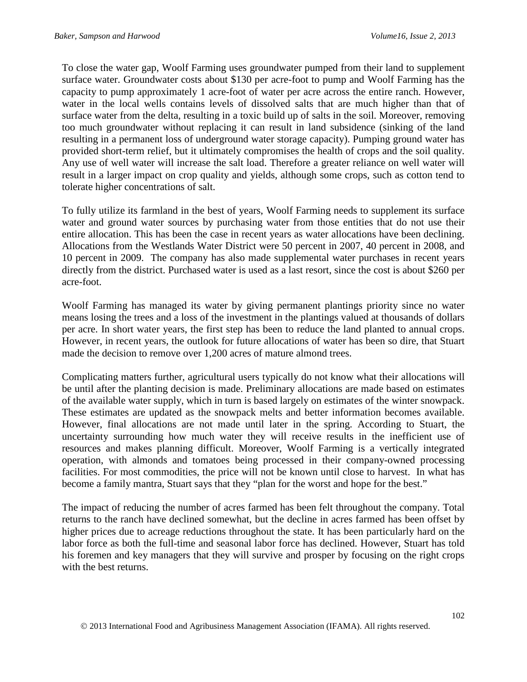To close the water gap, Woolf Farming uses groundwater pumped from their land to supplement surface water. Groundwater costs about \$130 per acre-foot to pump and Woolf Farming has the capacity to pump approximately 1 acre-foot of water per acre across the entire ranch. However, water in the local wells contains levels of dissolved salts that are much higher than that of surface water from the delta, resulting in a toxic build up of salts in the soil. Moreover, removing too much groundwater without replacing it can result in land subsidence (sinking of the land resulting in a permanent loss of underground water storage capacity). Pumping ground water has provided short-term relief, but it ultimately compromises the health of crops and the soil quality. Any use of well water will increase the salt load. Therefore a greater reliance on well water will result in a larger impact on crop quality and yields, although some crops, such as cotton tend to tolerate higher concentrations of salt.

To fully utilize its farmland in the best of years, Woolf Farming needs to supplement its surface water and ground water sources by purchasing water from those entities that do not use their entire allocation. This has been the case in recent years as water allocations have been declining. Allocations from the Westlands Water District were 50 percent in 2007, 40 percent in 2008, and 10 percent in 2009. The company has also made supplemental water purchases in recent years directly from the district. Purchased water is used as a last resort, since the cost is about \$260 per acre-foot.

Woolf Farming has managed its water by giving permanent plantings priority since no water means losing the trees and a loss of the investment in the plantings valued at thousands of dollars per acre. In short water years, the first step has been to reduce the land planted to annual crops. However, in recent years, the outlook for future allocations of water has been so dire, that Stuart made the decision to remove over 1,200 acres of mature almond trees.

Complicating matters further, agricultural users typically do not know what their allocations will be until after the planting decision is made. Preliminary allocations are made based on estimates of the available water supply, which in turn is based largely on estimates of the winter snowpack. These estimates are updated as the snowpack melts and better information becomes available. However, final allocations are not made until later in the spring. According to Stuart, the uncertainty surrounding how much water they will receive results in the inefficient use of resources and makes planning difficult. Moreover, Woolf Farming is a vertically integrated operation, with almonds and tomatoes being processed in their company-owned processing facilities. For most commodities, the price will not be known until close to harvest. In what has become a family mantra, Stuart says that they "plan for the worst and hope for the best."

The impact of reducing the number of acres farmed has been felt throughout the company. Total returns to the ranch have declined somewhat, but the decline in acres farmed has been offset by higher prices due to acreage reductions throughout the state. It has been particularly hard on the labor force as both the full-time and seasonal labor force has declined. However, Stuart has told his foremen and key managers that they will survive and prosper by focusing on the right crops with the best returns.